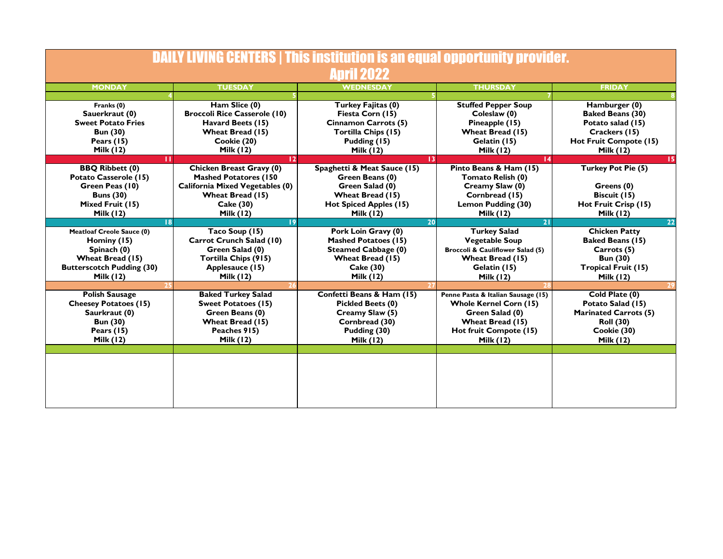| <b>DAILY LIVING CENTERS   This institution is an equal opportunity provider.</b> |                                        |                             |                                    |                              |  |  |  |
|----------------------------------------------------------------------------------|----------------------------------------|-----------------------------|------------------------------------|------------------------------|--|--|--|
| <b>April 2022</b>                                                                |                                        |                             |                                    |                              |  |  |  |
| <b>MONDAY</b>                                                                    | <b>TUESDAY</b>                         | <b>WEDNESDAY</b>            | <b>THURSDAY</b>                    | <b>FRIDAY</b>                |  |  |  |
|                                                                                  |                                        |                             |                                    |                              |  |  |  |
| Franks (0)                                                                       | Ham Slice (0)                          | Turkey Fajitas (0)          | <b>Stuffed Pepper Soup</b>         | Hamburger (0)                |  |  |  |
| Sauerkraut (0)                                                                   | <b>Broccoli Rice Casserole (10)</b>    | Fiesta Corn (15)            | Coleslaw (0)                       | <b>Baked Beans (30)</b>      |  |  |  |
| <b>Sweet Potato Fries</b>                                                        | Havard Beets (15)                      | <b>Cinnamon Carrots (5)</b> | Pineapple (15)                     | Potato salad (15)            |  |  |  |
| <b>Bun (30)</b>                                                                  | Wheat Bread (15)                       | Tortilla Chips (15)         | Wheat Bread (15)                   | Crackers (15)                |  |  |  |
| Pears $(15)$                                                                     | Cookie (20)                            | Pudding (15)                | Gelatin (15)                       | Hot Fruit Compote (15)       |  |  |  |
| Milk (12)                                                                        | <b>Milk (12)</b>                       | <b>Milk (12)</b>            | Milk $(12)$                        | <b>Milk (12)</b>             |  |  |  |
| ш                                                                                | 12 <sup>1</sup>                        | 3                           | 4                                  | 15                           |  |  |  |
| <b>BBQ Ribbett (0)</b>                                                           | Chicken Breast Gravy (0)               | Spaghetti & Meat Sauce (15) | Pinto Beans & Ham (15)             | <b>Turkey Pot Pie (5)</b>    |  |  |  |
| Potato Casserole (15)                                                            | <b>Mashed Potatores (150</b>           | Green Beans (0)             | Tomato Relish (0)                  |                              |  |  |  |
| Green Peas (10)                                                                  | <b>California Mixed Vegetables (0)</b> | Green Salad (0)             | Creamy Slaw (0)                    | Greens (0)                   |  |  |  |
| <b>Buns (30)</b>                                                                 | Wheat Bread (15)                       | Wheat Bread (15)            | Cornbread (15)                     | Biscuit (15)                 |  |  |  |
| Mixed Fruit (15)                                                                 | Cake (30)                              | Hot Spiced Apples (15)      | Lemon Pudding (30)                 | Hot Fruit Crisp (15)         |  |  |  |
| <b>Milk (12)</b>                                                                 | <b>Milk (12)</b>                       | <b>Milk (12)</b>            | <b>Milk (12)</b>                   | <b>Milk (12)</b>             |  |  |  |
| 18                                                                               | 19                                     | 20                          | 21                                 | 22                           |  |  |  |
| <b>Meatloaf Creole Sauce (0)</b>                                                 | Taco Soup (15)                         | Pork Loin Gravy (0)         | <b>Turkey Salad</b>                | <b>Chicken Patty</b>         |  |  |  |
| Hominy (15)                                                                      | Carrot Crunch Salad (10)               | <b>Mashed Potatoes (15)</b> | <b>Vegetable Soup</b>              | <b>Baked Beans (15)</b>      |  |  |  |
| Spinach (0)                                                                      | Green Salad (0)                        | <b>Steamed Cabbage (0)</b>  | Broccoli & Cauliflower Salad (5)   | Carrots (5)                  |  |  |  |
| Wheat Bread (15)                                                                 | Tortilla Chips (915)                   | Wheat Bread (15)            | Wheat Bread (15)                   | <b>Bun (30)</b>              |  |  |  |
| <b>Butterscotch Pudding (30)</b>                                                 | Applesauce (15)                        | Cake (30)                   | Gelatin (15)                       | <b>Tropical Fruit (15)</b>   |  |  |  |
| <b>Milk (12)</b>                                                                 | <b>Milk (12)</b>                       | <b>Milk (12)</b>            | <b>Milk (12)</b>                   | <b>Milk (12)</b>             |  |  |  |
|                                                                                  |                                        |                             |                                    | 29                           |  |  |  |
| <b>Polish Sausage</b>                                                            | <b>Baked Turkey Salad</b>              | Confetti Beans & Ham (15)   | Penne Pasta & Italian Sausage (15) | Cold Plate (0)               |  |  |  |
| <b>Cheesey Potatoes (15)</b>                                                     | <b>Sweet Potatoes (15)</b>             | <b>Pickled Beets (0)</b>    | <b>Whole Kernel Corn (15)</b>      | Potato Salad (15)            |  |  |  |
| Saurkraut (0)                                                                    | Green Beans (0)                        | Creamy Slaw (5)             | Green Salad (0)                    | <b>Marinated Carrots (5)</b> |  |  |  |
| <b>Bun (30)</b>                                                                  | Wheat Bread (15)                       | Cornbread (30)              | Wheat Bread (15)                   | <b>Roll (30)</b>             |  |  |  |
| Pears $(15)$                                                                     | Peaches 915)                           | Pudding (30)                | Hot fruit Compote (15)             | Cookie (30)                  |  |  |  |
| <b>Milk (12)</b>                                                                 | <b>Milk (12)</b>                       | <b>Milk (12)</b>            | <b>Milk (12)</b>                   | <b>Milk (12)</b>             |  |  |  |
|                                                                                  |                                        |                             |                                    |                              |  |  |  |
|                                                                                  |                                        |                             |                                    |                              |  |  |  |
|                                                                                  |                                        |                             |                                    |                              |  |  |  |
|                                                                                  |                                        |                             |                                    |                              |  |  |  |
|                                                                                  |                                        |                             |                                    |                              |  |  |  |
|                                                                                  |                                        |                             |                                    |                              |  |  |  |
|                                                                                  |                                        |                             |                                    |                              |  |  |  |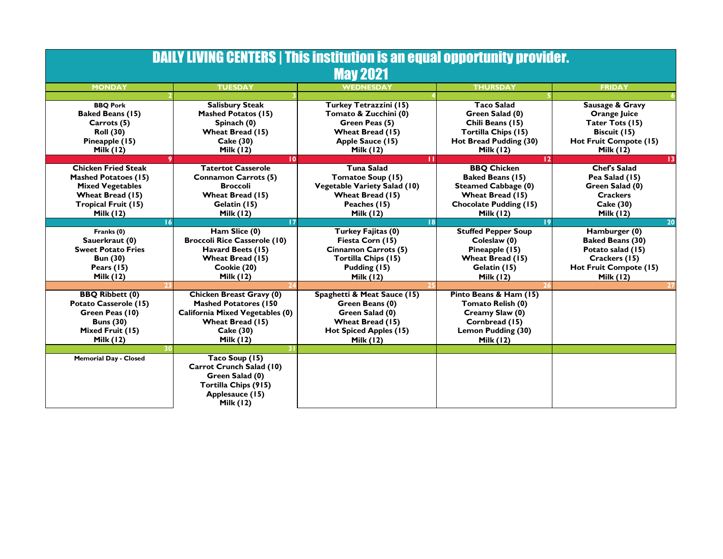| <b>DAILY LIVING CENTERS   This institution is an equal opportunity provider.</b><br><b>May 2021</b> |                                        |                                     |                               |                         |  |  |  |
|-----------------------------------------------------------------------------------------------------|----------------------------------------|-------------------------------------|-------------------------------|-------------------------|--|--|--|
| <b>MONDAY</b>                                                                                       | <b>TUESDAY</b>                         | <b>WEDNESDAY</b>                    | <b>THURSDAY</b>               | <b>FRIDAY</b>           |  |  |  |
|                                                                                                     |                                        |                                     |                               |                         |  |  |  |
| <b>BBQ Pork</b>                                                                                     | <b>Salisbury Steak</b>                 | Turkey Tetrazzini (15)              | <b>Taco Salad</b>             | Sausage & Gravy         |  |  |  |
| <b>Baked Beans (15)</b>                                                                             | <b>Mashed Potatos (15)</b>             | Tomato & Zucchini (0)               | Green Salad (0)               | Orange Juice            |  |  |  |
| Carrots (5)                                                                                         | Spinach (0)                            | Green Peas (5)                      | Chili Beans (15)              | Tater Tots (15)         |  |  |  |
| <b>Roll (30)</b>                                                                                    | Wheat Bread (15)                       | Wheat Bread (15)                    | Tortilla Chips (15)           | Biscuit (15)            |  |  |  |
| Pineapple (15)                                                                                      | Cake (30)                              | Apple Sauce (15)                    | Hot Bread Pudding (30)        | Hot Fruit Compote (15)  |  |  |  |
| Milk $(12)$                                                                                         | Milk $(12)$                            | <b>Milk (12)</b>                    | Milk $(12)$                   | <b>Milk (12)</b>        |  |  |  |
|                                                                                                     | 10                                     | ш                                   | $\overline{12}$               | $\overline{13}$         |  |  |  |
| <b>Chicken Fried Steak</b>                                                                          | <b>Tatertot Casserole</b>              | <b>Tuna Salad</b>                   | <b>BBQ Chicken</b>            | <b>Chef's Salad</b>     |  |  |  |
| <b>Mashed Potatoes (15)</b>                                                                         | <b>Connamon Carrots (5)</b>            | Tomatoe Soup (15)                   | <b>Baked Beans (15)</b>       | Pea Salad (15)          |  |  |  |
| <b>Mixed Vegetables</b>                                                                             | <b>Broccoli</b>                        | <b>Vegetable Variety Salad (10)</b> | <b>Steamed Cabbage (0)</b>    | Green Salad (0)         |  |  |  |
| Wheat Bread (15)                                                                                    | Wheat Bread (15)                       | Wheat Bread (15)                    | Wheat Bread (15)              | <b>Crackers</b>         |  |  |  |
| <b>Tropical Fruit (15)</b>                                                                          | Gelatin (15)                           | Peaches (15)                        | <b>Chocolate Pudding (15)</b> | Cake (30)               |  |  |  |
| <b>Milk (12)</b>                                                                                    | <b>Milk (12)</b>                       | <b>Milk (12)</b>                    | <b>Milk (12)</b>              | <b>Milk (12)</b>        |  |  |  |
| 16                                                                                                  | 17                                     | 18                                  | 19                            | 20                      |  |  |  |
| Franks (0)                                                                                          | Ham Slice (0)                          | Turkey Fajitas (0)                  | <b>Stuffed Pepper Soup</b>    | Hamburger (0)           |  |  |  |
| Sauerkraut (0)                                                                                      | <b>Broccoli Rice Casserole (10)</b>    | Fiesta Corn (15)                    | Coleslaw (0)                  | <b>Baked Beans (30)</b> |  |  |  |
| <b>Sweet Potato Fries</b>                                                                           | Havard Beets (15)                      | <b>Cinnamon Carrots (5)</b>         | Pineapple (15)                | Potato salad (15)       |  |  |  |
| <b>Bun (30)</b>                                                                                     | Wheat Bread (15)                       | <b>Tortilla Chips (15)</b>          | Wheat Bread (15)              | Crackers (15)           |  |  |  |
| Pears $(15)$                                                                                        | Cookie (20)                            | Pudding (15)                        | Gelatin (15)                  | Hot Fruit Compote (15)  |  |  |  |
| <b>Milk (12)</b>                                                                                    | <b>Milk (12)</b>                       | <b>Milk (12)</b>                    | <b>Milk (12)</b>              | <b>Milk (12)</b>        |  |  |  |
|                                                                                                     |                                        |                                     |                               |                         |  |  |  |
| <b>BBQ Ribbett (0)</b>                                                                              | Chicken Breast Gravy (0)               | Spaghetti & Meat Sauce (15)         | Pinto Beans & Ham (15)        |                         |  |  |  |
| Potato Casserole (15)                                                                               | <b>Mashed Potatores (150</b>           | Green Beans (0)                     | Tomato Relish (0)             |                         |  |  |  |
| Green Peas (10)                                                                                     | <b>California Mixed Vegetables (0)</b> | Green Salad (0)                     | Creamy Slaw (0)               |                         |  |  |  |
| <b>Buns (30)</b>                                                                                    | Wheat Bread (15)                       | Wheat Bread (15)                    | Cornbread (15)                |                         |  |  |  |
| Mixed Fruit (15)                                                                                    | Cake (30)                              | Hot Spiced Apples (15)              | Lemon Pudding (30)            |                         |  |  |  |
| <b>Milk (12)</b>                                                                                    | <b>Milk (12)</b>                       | <b>Milk (12)</b>                    | <b>Milk (12)</b>              |                         |  |  |  |
| 30                                                                                                  | 31                                     |                                     |                               |                         |  |  |  |
| <b>Memorial Day - Closed</b>                                                                        | Taco Soup (15)                         |                                     |                               |                         |  |  |  |
|                                                                                                     | Carrot Crunch Salad (10)               |                                     |                               |                         |  |  |  |
|                                                                                                     | Green Salad (0)                        |                                     |                               |                         |  |  |  |
|                                                                                                     | Tortilla Chips (915)                   |                                     |                               |                         |  |  |  |
|                                                                                                     | Applesauce (15)                        |                                     |                               |                         |  |  |  |
|                                                                                                     | <b>Milk (12)</b>                       |                                     |                               |                         |  |  |  |